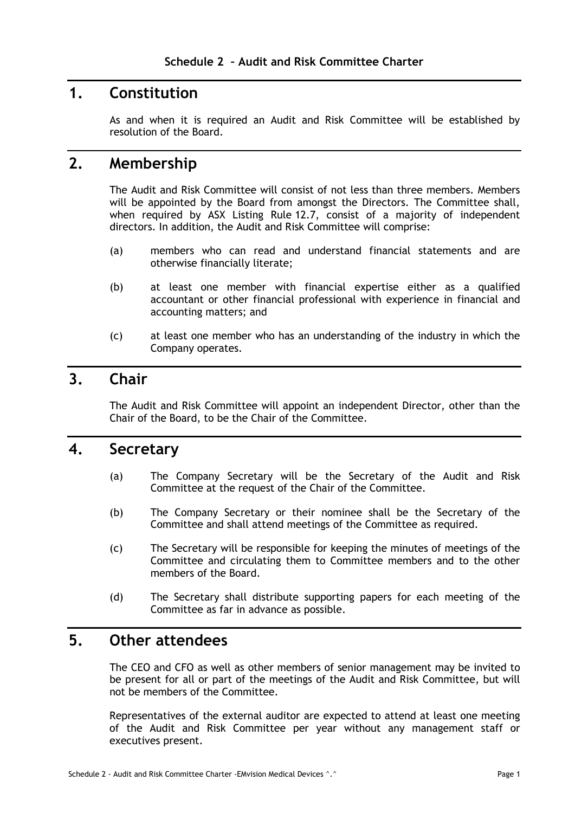### **1. Constitution**

As and when it is required an Audit and Risk Committee will be established by resolution of the Board.

### **2. Membership**

The Audit and Risk Committee will consist of not less than three members. Members will be appointed by the Board from amongst the Directors. The Committee shall, when required by ASX Listing Rule 12.7, consist of a majority of independent directors. In addition, the Audit and Risk Committee will comprise:

- (a) members who can read and understand financial statements and are otherwise financially literate;
- (b) at least one member with financial expertise either as a qualified accountant or other financial professional with experience in financial and accounting matters; and
- (c) at least one member who has an understanding of the industry in which the Company operates.

# **3. Chair**

The Audit and Risk Committee will appoint an independent Director, other than the Chair of the Board, to be the Chair of the Committee.

#### **4. Secretary**

- (a) The Company Secretary will be the Secretary of the Audit and Risk Committee at the request of the Chair of the Committee.
- (b) The Company Secretary or their nominee shall be the Secretary of the Committee and shall attend meetings of the Committee as required.
- (c) The Secretary will be responsible for keeping the minutes of meetings of the Committee and circulating them to Committee members and to the other members of the Board.
- (d) The Secretary shall distribute supporting papers for each meeting of the Committee as far in advance as possible.

### **5. Other attendees**

The CEO and CFO as well as other members of senior management may be invited to be present for all or part of the meetings of the Audit and Risk Committee, but will not be members of the Committee.

Representatives of the external auditor are expected to attend at least one meeting of the Audit and Risk Committee per year without any management staff or executives present.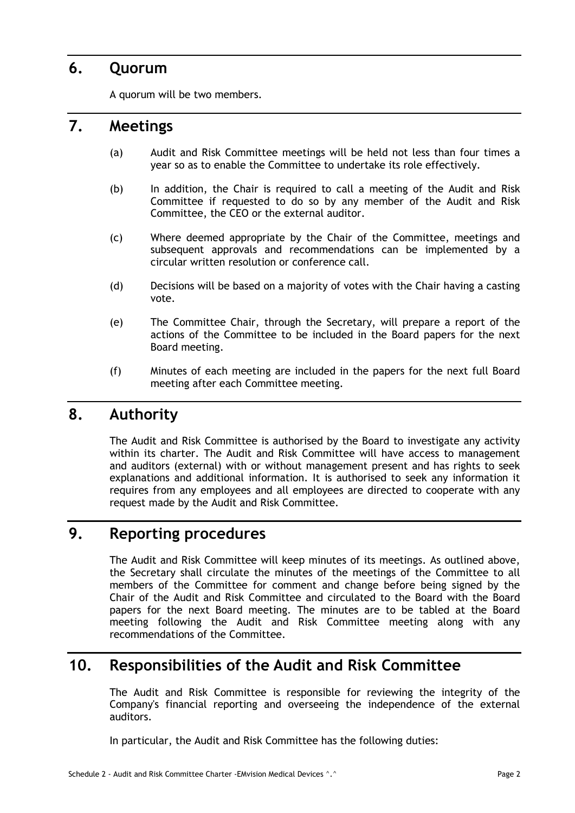## **6. Quorum**

A quorum will be two members.

# **7. Meetings**

- (a) Audit and Risk Committee meetings will be held not less than four times a year so as to enable the Committee to undertake its role effectively.
- (b) In addition, the Chair is required to call a meeting of the Audit and Risk Committee if requested to do so by any member of the Audit and Risk Committee, the CEO or the external auditor.
- (c) Where deemed appropriate by the Chair of the Committee, meetings and subsequent approvals and recommendations can be implemented by a circular written resolution or conference call.
- (d) Decisions will be based on a majority of votes with the Chair having a casting vote.
- (e) The Committee Chair, through the Secretary, will prepare a report of the actions of the Committee to be included in the Board papers for the next Board meeting.
- (f) Minutes of each meeting are included in the papers for the next full Board meeting after each Committee meeting.

### **8. Authority**

The Audit and Risk Committee is authorised by the Board to investigate any activity within its charter. The Audit and Risk Committee will have access to management and auditors (external) with or without management present and has rights to seek explanations and additional information. It is authorised to seek any information it requires from any employees and all employees are directed to cooperate with any request made by the Audit and Risk Committee.

# **9. Reporting procedures**

The Audit and Risk Committee will keep minutes of its meetings. As outlined above, the Secretary shall circulate the minutes of the meetings of the Committee to all members of the Committee for comment and change before being signed by the Chair of the Audit and Risk Committee and circulated to the Board with the Board papers for the next Board meeting. The minutes are to be tabled at the Board meeting following the Audit and Risk Committee meeting along with any recommendations of the Committee.

# **10. Responsibilities of the Audit and Risk Committee**

The Audit and Risk Committee is responsible for reviewing the integrity of the Company's financial reporting and overseeing the independence of the external auditors.

In particular, the Audit and Risk Committee has the following duties: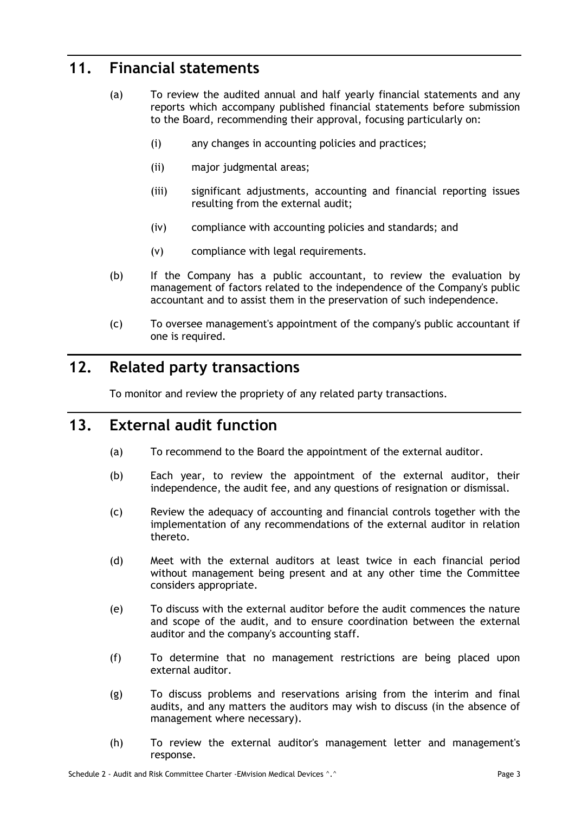# **11. Financial statements**

- (a) To review the audited annual and half yearly financial statements and any reports which accompany published financial statements before submission to the Board, recommending their approval, focusing particularly on:
	- (i) any changes in accounting policies and practices;
	- (ii) major judgmental areas;
	- (iii) significant adjustments, accounting and financial reporting issues resulting from the external audit;
	- (iv) compliance with accounting policies and standards; and
	- (v) compliance with legal requirements.
- (b) If the Company has a public accountant, to review the evaluation by management of factors related to the independence of the Company's public accountant and to assist them in the preservation of such independence.
- (c) To oversee management's appointment of the company's public accountant if one is required.

# **12. Related party transactions**

To monitor and review the propriety of any related party transactions.

# **13. External audit function**

- (a) To recommend to the Board the appointment of the external auditor.
- (b) Each year, to review the appointment of the external auditor, their independence, the audit fee, and any questions of resignation or dismissal.
- (c) Review the adequacy of accounting and financial controls together with the implementation of any recommendations of the external auditor in relation thereto.
- (d) Meet with the external auditors at least twice in each financial period without management being present and at any other time the Committee considers appropriate.
- (e) To discuss with the external auditor before the audit commences the nature and scope of the audit, and to ensure coordination between the external auditor and the company's accounting staff.
- (f) To determine that no management restrictions are being placed upon external auditor.
- (g) To discuss problems and reservations arising from the interim and final audits, and any matters the auditors may wish to discuss (in the absence of management where necessary).
- (h) To review the external auditor's management letter and management's response.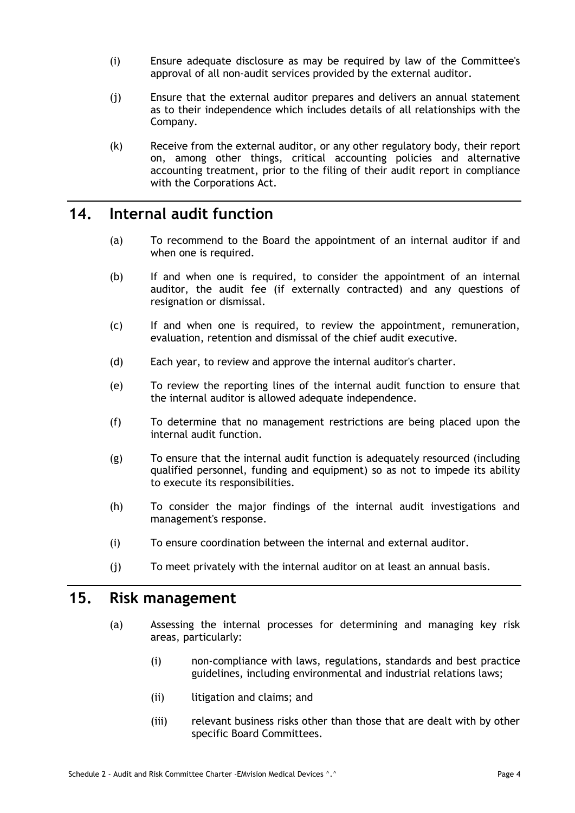- (i) Ensure adequate disclosure as may be required by law of the Committee's approval of all non-audit services provided by the external auditor.
- (j) Ensure that the external auditor prepares and delivers an annual statement as to their independence which includes details of all relationships with the Company.
- (k) Receive from the external auditor, or any other regulatory body, their report on, among other things, critical accounting policies and alternative accounting treatment, prior to the filing of their audit report in compliance with the Corporations Act.

### **14. Internal audit function**

- (a) To recommend to the Board the appointment of an internal auditor if and when one is required.
- (b) If and when one is required, to consider the appointment of an internal auditor, the audit fee (if externally contracted) and any questions of resignation or dismissal.
- (c) If and when one is required, to review the appointment, remuneration, evaluation, retention and dismissal of the chief audit executive.
- (d) Each year, to review and approve the internal auditor's charter.
- (e) To review the reporting lines of the internal audit function to ensure that the internal auditor is allowed adequate independence.
- (f) To determine that no management restrictions are being placed upon the internal audit function.
- (g) To ensure that the internal audit function is adequately resourced (including qualified personnel, funding and equipment) so as not to impede its ability to execute its responsibilities.
- (h) To consider the major findings of the internal audit investigations and management's response.
- (i) To ensure coordination between the internal and external auditor.
- (j) To meet privately with the internal auditor on at least an annual basis.

### **15. Risk management**

- (a) Assessing the internal processes for determining and managing key risk areas, particularly:
	- (i) non-compliance with laws, regulations, standards and best practice guidelines, including environmental and industrial relations laws;
	- (ii) litigation and claims; and
	- (iii) relevant business risks other than those that are dealt with by other specific Board Committees.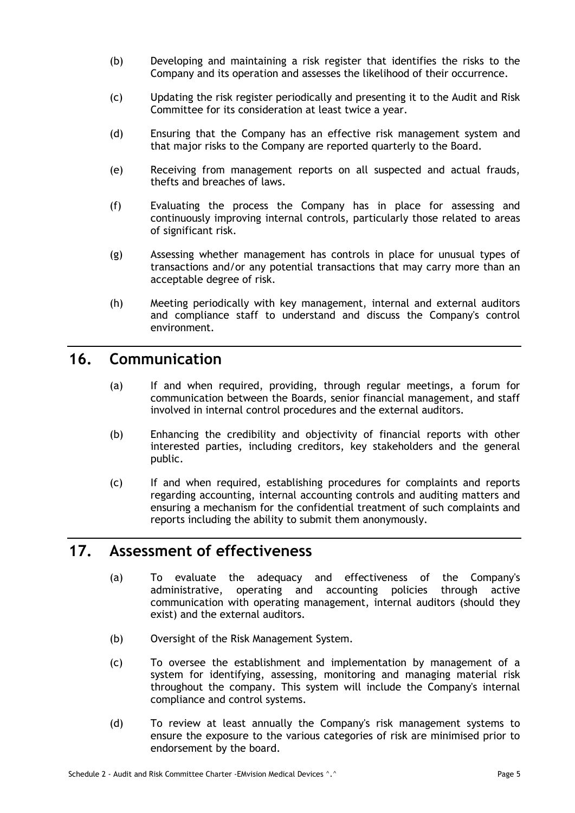- (b) Developing and maintaining a risk register that identifies the risks to the Company and its operation and assesses the likelihood of their occurrence.
- (c) Updating the risk register periodically and presenting it to the Audit and Risk Committee for its consideration at least twice a year.
- (d) Ensuring that the Company has an effective risk management system and that major risks to the Company are reported quarterly to the Board.
- (e) Receiving from management reports on all suspected and actual frauds, thefts and breaches of laws.
- (f) Evaluating the process the Company has in place for assessing and continuously improving internal controls, particularly those related to areas of significant risk.
- (g) Assessing whether management has controls in place for unusual types of transactions and/or any potential transactions that may carry more than an acceptable degree of risk.
- (h) Meeting periodically with key management, internal and external auditors and compliance staff to understand and discuss the Company's control environment.

### **16. Communication**

- (a) If and when required, providing, through regular meetings, a forum for communication between the Boards, senior financial management, and staff involved in internal control procedures and the external auditors.
- (b) Enhancing the credibility and objectivity of financial reports with other interested parties, including creditors, key stakeholders and the general public.
- (c) If and when required, establishing procedures for complaints and reports regarding accounting, internal accounting controls and auditing matters and ensuring a mechanism for the confidential treatment of such complaints and reports including the ability to submit them anonymously.

#### **17. Assessment of effectiveness**

- (a) To evaluate the adequacy and effectiveness of the Company's administrative, operating and accounting policies through active communication with operating management, internal auditors (should they exist) and the external auditors.
- (b) Oversight of the Risk Management System.
- (c) To oversee the establishment and implementation by management of a system for identifying, assessing, monitoring and managing material risk throughout the company. This system will include the Company's internal compliance and control systems.
- (d) To review at least annually the Company's risk management systems to ensure the exposure to the various categories of risk are minimised prior to endorsement by the board.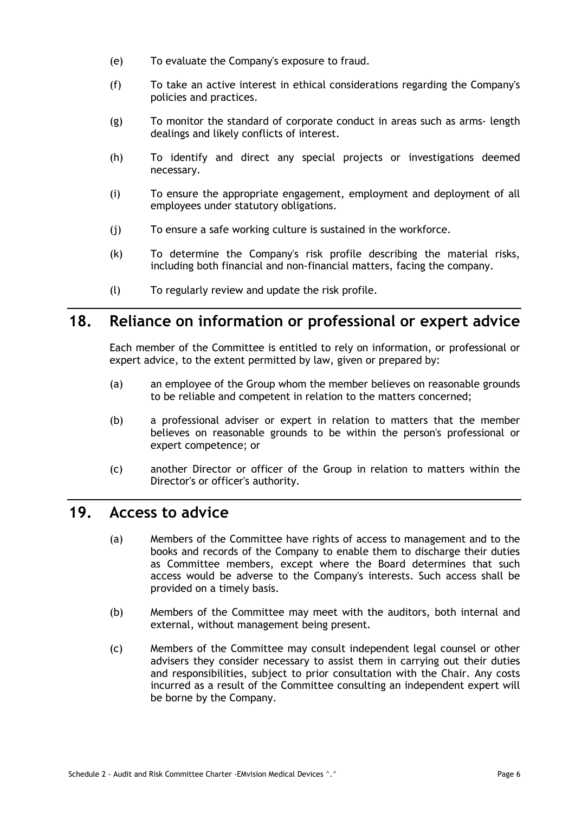- (e) To evaluate the Company's exposure to fraud.
- (f) To take an active interest in ethical considerations regarding the Company's policies and practices.
- (g) To monitor the standard of corporate conduct in areas such as arms- length dealings and likely conflicts of interest.
- (h) To identify and direct any special projects or investigations deemed necessary.
- (i) To ensure the appropriate engagement, employment and deployment of all employees under statutory obligations.
- (j) To ensure a safe working culture is sustained in the workforce.
- (k) To determine the Company's risk profile describing the material risks, including both financial and non-financial matters, facing the company.
- (l) To regularly review and update the risk profile.

### **18. Reliance on information or professional or expert advice**

Each member of the Committee is entitled to rely on information, or professional or expert advice, to the extent permitted by law, given or prepared by:

- (a) an employee of the Group whom the member believes on reasonable grounds to be reliable and competent in relation to the matters concerned;
- (b) a professional adviser or expert in relation to matters that the member believes on reasonable grounds to be within the person's professional or expert competence; or
- (c) another Director or officer of the Group in relation to matters within the Director's or officer's authority.

#### **19. Access to advice**

- (a) Members of the Committee have rights of access to management and to the books and records of the Company to enable them to discharge their duties as Committee members, except where the Board determines that such access would be adverse to the Company's interests. Such access shall be provided on a timely basis.
- (b) Members of the Committee may meet with the auditors, both internal and external, without management being present.
- (c) Members of the Committee may consult independent legal counsel or other advisers they consider necessary to assist them in carrying out their duties and responsibilities, subject to prior consultation with the Chair. Any costs incurred as a result of the Committee consulting an independent expert will be borne by the Company.